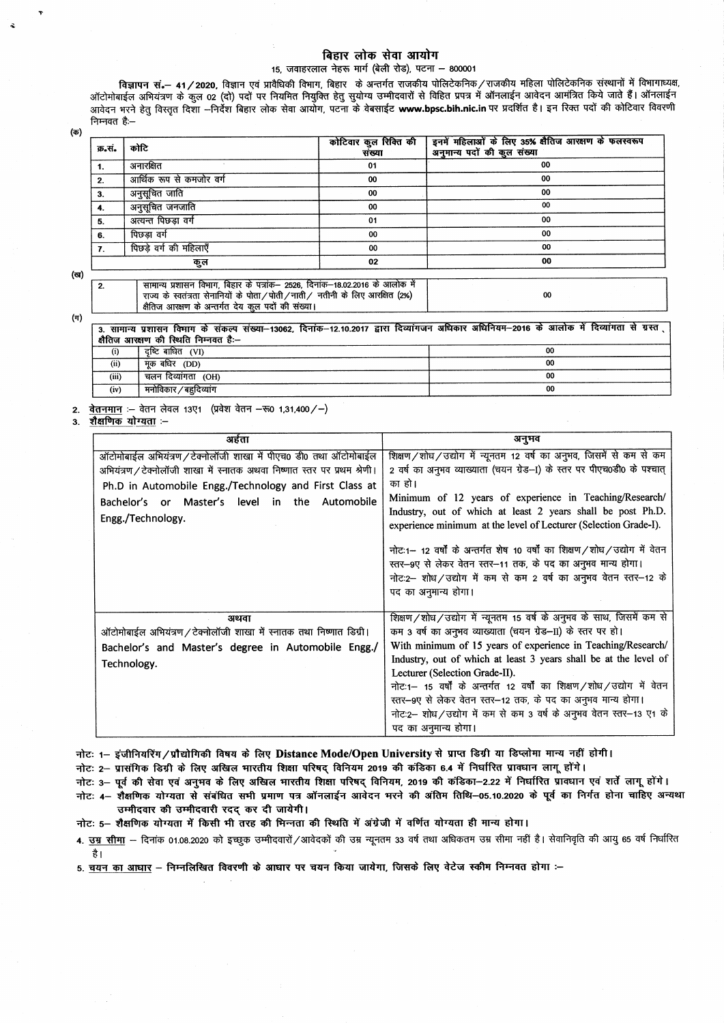## बिहार लोक सेवा आयोग

## 15. जवाहरलाल नेहरू मार्ग (बेली रोड), पटना - 800001

विज्ञापन सं.- 41/2020, विज्ञान एवं प्रावैधिकी विभाग, बिहार के अन्तर्गत राजकीय पोलिटेकनिक/राजकीय महिला पोलिटेकनिक संस्थानों में विभागाध्यक्ष, ऑटोमोबाईल अभियंत्रण के कुल 02 (दो) पदों पर नियमित नियुक्ति हेतु सुयोग्य उम्मीदवारों से विहित प्रपत्र में ऑनलाईन आवेदन आमंत्रित किये जाते हैं। ऑनलाईन आवेदन भरने हेतु विस्तृत दिशा –निर्देश बिहार लोक सेवा आयोग, पटना के वेबसाईट www.bpsc.bih.nic.in पर प्रदर्शित है। इन रिक्त पदों की कोटिवार विवरणी निम्नवत है:--

(ক)

| क्र.सं. | कोटि                                                                         | कोटिवार कुल रिक्ति की<br>संख्या | इनमें महिलाओं के लिए 35% क्षैतिज आरक्षण के फलस्वरूप<br>अनुमान्य पदों की कुल संख्या |  |
|---------|------------------------------------------------------------------------------|---------------------------------|------------------------------------------------------------------------------------|--|
| -1.     | अनारक्षित                                                                    | 01                              | 00                                                                                 |  |
| -2.     | आर्थिक रूप से कमजोर वर्ग                                                     | 00                              | 00                                                                                 |  |
| 3.      | अनुसूचित जाति                                                                | 00                              | 00                                                                                 |  |
| 4.      | अनुसूचित जनजाति                                                              | 00                              | 00                                                                                 |  |
| 5.      | अत्यन्त पिछड़ा वर्ग                                                          | 01                              | 00                                                                                 |  |
| 6.      | पिछडा वर्ग                                                                   | 00                              | 00                                                                                 |  |
| 7.      | पिछड़े वर्ग की महिलाएँ                                                       | 00                              | 00                                                                                 |  |
|         | कुल                                                                          | 02                              | 00                                                                                 |  |
| 2.      | सामान्य प्रशासन विभाग, बिहार के पत्रांक– 2526, दिनांक–18.02.2016 के आलोक में |                                 |                                                                                    |  |

 $(\pi)$ 

 $\overline{2}$ 

(ত)

|       | 3. सामान्य प्रशासन विमाग के संकल्प संख्या–13062, दिनांक–12.10.2017 द्वारा दिव्यांगजन अधिकार अधिनियम–2016 के आलोक में दिव्यांगता से ग्रस्त<br>क्षैतिज आरक्षण की स्थिति निम्नवत है:-- |    |
|-------|-------------------------------------------------------------------------------------------------------------------------------------------------------------------------------------|----|
| (i)   | दष्टिबाधित (VI)                                                                                                                                                                     | 00 |
| (ii)  | मक बधिर <i>(DD</i> )                                                                                                                                                                | 00 |
| (iii) | चलन दिव्यांगता (OH)                                                                                                                                                                 | 00 |
| (iv)  | मनोविकार / बहुदिव्यांग                                                                                                                                                              | 00 |

 $00$ 

**वेतनमान** :- वेतन लेवल 13ए1 (प्रवेश वेतन - रू0 1,31,400 /-)  $2.$ 

रामान्य त्रसारान विभाग, विद्यार के वजाके 2225, विभाग 16.82.2010 के आसाक<br>राज्य के स्वतंत्रता सेनानियों के पोता / पोती / नाती / नतीनी के लिए आरक्षित (2%)<br>क्षैतिज आरक्षण के अन्तर्गत देय कुल पदों की संख्या।

शैक्षणिक योग्यता :- $3.$ 

| अर्हता                                                                                                                                                                                                                                                                        | अनुमव                                                                                                                                                                                                                                                                                                                                                                                                                                                                                                                                                                                     |
|-------------------------------------------------------------------------------------------------------------------------------------------------------------------------------------------------------------------------------------------------------------------------------|-------------------------------------------------------------------------------------------------------------------------------------------------------------------------------------------------------------------------------------------------------------------------------------------------------------------------------------------------------------------------------------------------------------------------------------------------------------------------------------------------------------------------------------------------------------------------------------------|
| ऑटोमोबाईल अभियंत्रण/टेक्नोलॉजी शाखा में पीएच0 डी0 तथा ऑटोमोबाईल<br>अभियंत्रण / टेक्नोलॉजी शाखा में स्नातक अथवा निष्णात स्तर पर प्रथम श्रेणी।<br>Ph.D in Automobile Engg./Technology and First Class at<br>Bachelor's or Master's level in the Automobile<br>Engg./Technology. | शिक्षण/शोध/उद्योग में न्यूनतम 12 वर्ष का अनुभव, जिसमें से कम से कम<br>2 वर्ष का अनुभव व्याख्याता (चयन ग्रेड-1) के स्तर पर पीएच0डी0 के पश्चात्<br>का हो।<br>Minimum of 12 years of experience in Teaching/Research/<br>Industry, out of which at least 2 years shall be post Ph.D.<br>experience minimum at the level of Lecturer (Selection Grade-I).<br>नोट:1- 12 वर्षों के अन्तर्गत शेष 10 वर्षों का शिक्षण/शोध/उद्योग में वेतन<br>रतर-9ए से लेकर वेतन स्तर-11 तक, के पद का अनुभव मान्य होगा।<br>नोट:2- शोध/उद्योग में कम से कम 2 वर्ष का अनुभव वेतन स्तर-12 के<br>पद का अनुमान्य होगा। |
| अथवा                                                                                                                                                                                                                                                                          | शिक्षण/शोध/उद्योग में न्यूनतम 15 वर्ष के अनुभव के साथ, जिसमें कम से                                                                                                                                                                                                                                                                                                                                                                                                                                                                                                                       |
| ऑटोमोबाईल अभियंत्रण/टेक्नोलॉजी शाखा में स्नातक तथा निष्णात डिग्री।                                                                                                                                                                                                            | कम 3 वर्ष का अनुभव व्याख्याता (चयन ग्रेड-II) के स्तर पर हो।                                                                                                                                                                                                                                                                                                                                                                                                                                                                                                                               |
| Bachelor's and Master's degree in Automobile Engg./                                                                                                                                                                                                                           | With minimum of 15 years of experience in Teaching/Research/                                                                                                                                                                                                                                                                                                                                                                                                                                                                                                                              |
| Technology.                                                                                                                                                                                                                                                                   | Industry, out of which at least 3 years shall be at the level of                                                                                                                                                                                                                                                                                                                                                                                                                                                                                                                          |
|                                                                                                                                                                                                                                                                               | Lecturer (Selection Grade-II).                                                                                                                                                                                                                                                                                                                                                                                                                                                                                                                                                            |
|                                                                                                                                                                                                                                                                               | नोट:1- 15 वर्षों के अन्तर्गत 12 वर्षों का शिक्षण/शोध/उद्योग में वेतन                                                                                                                                                                                                                                                                                                                                                                                                                                                                                                                      |
|                                                                                                                                                                                                                                                                               | रतर-9ए से लेकर वेतन रतर-12 तक, के पद का अनुभव मान्य होगा।                                                                                                                                                                                                                                                                                                                                                                                                                                                                                                                                 |
|                                                                                                                                                                                                                                                                               | नोट:2- शोध/उद्योग में कम से कम 3 वर्ष के अनुभव वेतन स्तर-13 ए1 के                                                                                                                                                                                                                                                                                                                                                                                                                                                                                                                         |
|                                                                                                                                                                                                                                                                               | पद का अनुमान्य होगा।                                                                                                                                                                                                                                                                                                                                                                                                                                                                                                                                                                      |

नोटः 1- इंजीनियरिंग/प्रौद्योगिकी विषय के लिए Distance Mode/Open University से प्राप्त डिग्री या डिप्लोमा मान्य नहीं होगी।

नोटः 2- प्रासंगिक डिग्री के लिए अखिल भारतीय शिक्षा परिषद विनियम 2019 की कंडिका 6.4 में निर्धारित प्रावधान लागू होंगे।

नोटः 3– पर्व की सेवा एवं अनुभव के लिए अखिल भारतीय शिक्षा परिषद विनियम, 2019 की कंडिका–2.22 में निर्धारित प्रावधान एवं शर्ते लागू होंगे।

नोटः 4– शैक्षणिक योग्यता से संबंधित सभी प्रमाण पत्र ऑनलाईन आवेदन भरने की अंतिम तिथि–05.10.2020 के पूर्व का निर्गत होना चाहिए अन्यथा उम्मीदवार की उम्मीदवारी रदद कर दी जायेगी।

नोटः 5- शैक्षणिक योग्यता में किसी भी तरह की मिन्नता की स्थिति में अंग्रेजी में वर्णित योग्यता ही मान्य होगा।

4. <u>उम्र सीमा</u> – दिनांक 01.08.2020 को इच्छुक उम्मीदवारों /आवेदकों की उम्र न्यूनतम 33 वर्ष तथा अधिकतम उम्र सीमा नहीं है। सेवानिवृति की आयु 65 वर्ष निर्धारित है।

5. चयन का आधार – निम्नलिखित विवरणी के आधार पर चयन किया जायेगा, जिसके लिए वेटेज स्कीम निम्नवत होगा :–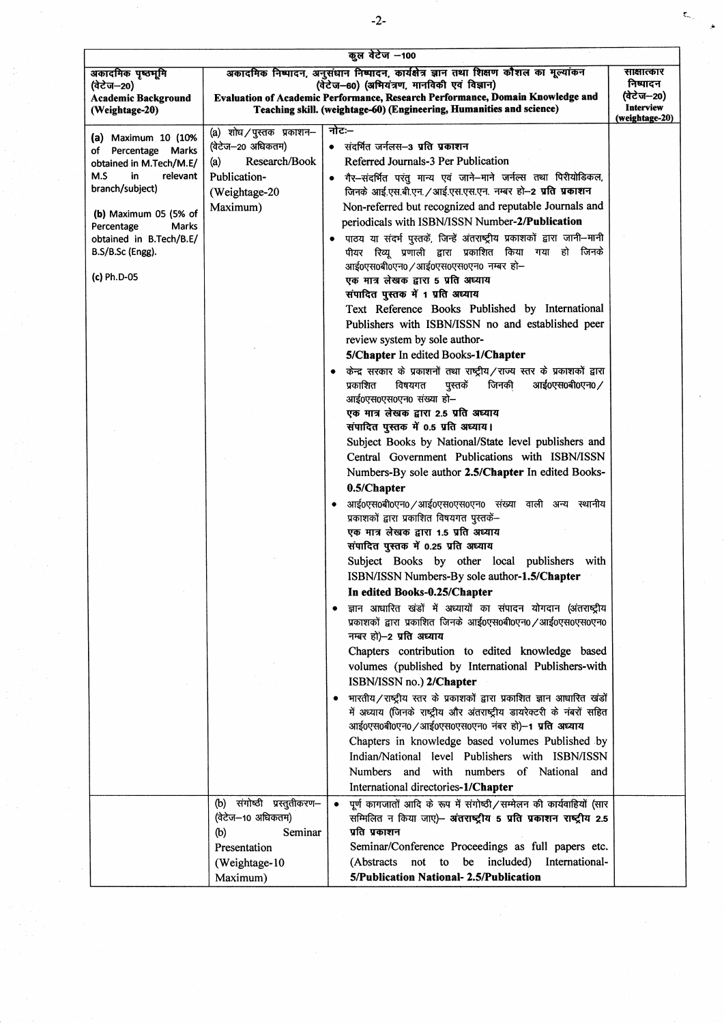| अकादमिक निष्पादन, अनुसंधान निष्पादन, कार्यक्षेत्र ज्ञान तथा शिक्षण कौशल का मूल्यांकन<br>साक्षात्कार<br>अकादमिक पृष्ठभूमि<br>निष्पादन<br>(वेटेज-60) (अभियंत्रण, मानविकी एवं विज्ञान)<br>(वेटेज—20)<br>(वेटेज—20)<br>Evaluation of Academic Performance, Research Performance, Domain Knowledge and<br><b>Academic Background</b><br><b>Interview</b><br>Teaching skill. (weightage-60) (Engineering, Humanities and science)<br>(Weightage-20)<br>(weightage-20)<br>नोटः–<br>(a) शोध / पुस्तक प्रकाशन–<br>(a) Maximum $10$ ( $10\%$<br>(वेटेज-20 अधिकतम)<br>• संदर्भित जर्नलस–3 प्रति प्रकाशन<br>of Percentage Marks<br>Referred Journals-3 Per Publication<br>Research/Book<br>(a)<br>obtained in M.Tech/M.E/<br>M.S<br>in<br>relevant<br>Publication-<br>गैर-संदर्भित परंतु मान्य एवं जाने-माने जर्नल्स तथा पिरीयोडिकल,<br>branch/subject)<br>जिनके आई.एस.बी.एन. / आई.एस.एस.एन. नम्बर हो-2 प्रति प्रकाशन<br>(Weightage-20<br>Non-referred but recognized and reputable Journals and<br>Maximum)<br>(b) Maximum 05 (5% of<br>periodicals with ISBN/ISSN Number-2/Publication<br>Percentage<br>Marks<br>पाठय या संदर्भ पुस्तकें, जिन्हें अंतराष्ट्रीय प्रकाशकों द्वारा जानी-मानी<br>obtained in B.Tech/B.E/<br>पीयर रिव्यू प्रणाली द्वारा प्रकाशित किया गया हो जिनके<br>B.S/B.Sc (Engg).<br>आई0एस0बी0एन0 / आई0एस0एस0एन0 नम्बर हो-<br>(c) Ph.D-05<br>एक मात्र लेखक द्वारा 5 प्रति अध्याय<br>संपादित पुस्तक में 1 प्रति अध्याय<br>Text Reference Books Published by International<br>Publishers with ISBN/ISSN no and established peer<br>review system by sole author-<br>5/Chapter In edited Books-1/Chapter<br>केन्द्र सरकार के प्रकाशनों तथा राष्ट्रीय/राज्य स्तर के प्रकाशकों द्वारा<br>आई0एस0बी0एन0/<br>प्रकाशित<br>विषयगत<br>पुस्तकें<br>जिनकी<br>आई0एस0एस0एन0 संख्या हो-<br>एक मात्र लेखक द्वारा 2.5 प्रति अध्याय<br>संपादित पुस्तक में 0.5 प्रति अध्याय।<br>Subject Books by National/State level publishers and<br>Central Government Publications with ISBN/ISSN<br>Numbers-By sole author 2.5/Chapter In edited Books-<br>0.5/Chapter<br>आई0एस0बी0एन0 / आई0एस0एस0एन0 संख्या वाली अन्य स्थानीय<br>प्रकाशकों द्वारा प्रकाशित विषयगत पुस्तकें-<br>एक मात्र लेखक द्वारा 1.5 प्रति अध्याय<br>संपादित पुस्तक में 0.25 प्रति अध्याय<br>Subject Books by other local publishers with<br>ISBN/ISSN Numbers-By sole author-1.5/Chapter<br>In edited Books-0.25/Chapter<br>ज्ञान आधारित खंडों में अध्यायों का संपादन योगदान (अंतराष्ट्रीय<br>प्रकाशकों द्वारा प्रकाशित जिनके आई0एस0बी0एन0 / आई0एस0एस0एन0<br>नम्बर हो)-2 प्रति अध्याय<br>Chapters contribution to edited knowledge based<br>volumes (published by International Publishers-with<br>ISBN/ISSN no.) 2/Chapter<br>भारतीय / राष्ट्रीय स्तर के प्रकाशकों द्वारा प्रकाशित ज्ञान आधारित खंडों<br>में अध्याय (जिनके राष्ट्रीय और अंतराष्ट्रीय डायरेक्टरी के नंबरों सहित |
|------------------------------------------------------------------------------------------------------------------------------------------------------------------------------------------------------------------------------------------------------------------------------------------------------------------------------------------------------------------------------------------------------------------------------------------------------------------------------------------------------------------------------------------------------------------------------------------------------------------------------------------------------------------------------------------------------------------------------------------------------------------------------------------------------------------------------------------------------------------------------------------------------------------------------------------------------------------------------------------------------------------------------------------------------------------------------------------------------------------------------------------------------------------------------------------------------------------------------------------------------------------------------------------------------------------------------------------------------------------------------------------------------------------------------------------------------------------------------------------------------------------------------------------------------------------------------------------------------------------------------------------------------------------------------------------------------------------------------------------------------------------------------------------------------------------------------------------------------------------------------------------------------------------------------------------------------------------------------------------------------------------------------------------------------------------------------------------------------------------------------------------------------------------------------------------------------------------------------------------------------------------------------------------------------------------------------------------------------------------------------------------------------------------------------------------------------------------------------------------------------------------------------------------------------------------------------------------------------------------------------------------------------------------------------------------------------------------------------------------------------------------------------------------------------------------------------|
|                                                                                                                                                                                                                                                                                                                                                                                                                                                                                                                                                                                                                                                                                                                                                                                                                                                                                                                                                                                                                                                                                                                                                                                                                                                                                                                                                                                                                                                                                                                                                                                                                                                                                                                                                                                                                                                                                                                                                                                                                                                                                                                                                                                                                                                                                                                                                                                                                                                                                                                                                                                                                                                                                                                                                                                                                              |
|                                                                                                                                                                                                                                                                                                                                                                                                                                                                                                                                                                                                                                                                                                                                                                                                                                                                                                                                                                                                                                                                                                                                                                                                                                                                                                                                                                                                                                                                                                                                                                                                                                                                                                                                                                                                                                                                                                                                                                                                                                                                                                                                                                                                                                                                                                                                                                                                                                                                                                                                                                                                                                                                                                                                                                                                                              |
|                                                                                                                                                                                                                                                                                                                                                                                                                                                                                                                                                                                                                                                                                                                                                                                                                                                                                                                                                                                                                                                                                                                                                                                                                                                                                                                                                                                                                                                                                                                                                                                                                                                                                                                                                                                                                                                                                                                                                                                                                                                                                                                                                                                                                                                                                                                                                                                                                                                                                                                                                                                                                                                                                                                                                                                                                              |
|                                                                                                                                                                                                                                                                                                                                                                                                                                                                                                                                                                                                                                                                                                                                                                                                                                                                                                                                                                                                                                                                                                                                                                                                                                                                                                                                                                                                                                                                                                                                                                                                                                                                                                                                                                                                                                                                                                                                                                                                                                                                                                                                                                                                                                                                                                                                                                                                                                                                                                                                                                                                                                                                                                                                                                                                                              |
|                                                                                                                                                                                                                                                                                                                                                                                                                                                                                                                                                                                                                                                                                                                                                                                                                                                                                                                                                                                                                                                                                                                                                                                                                                                                                                                                                                                                                                                                                                                                                                                                                                                                                                                                                                                                                                                                                                                                                                                                                                                                                                                                                                                                                                                                                                                                                                                                                                                                                                                                                                                                                                                                                                                                                                                                                              |
|                                                                                                                                                                                                                                                                                                                                                                                                                                                                                                                                                                                                                                                                                                                                                                                                                                                                                                                                                                                                                                                                                                                                                                                                                                                                                                                                                                                                                                                                                                                                                                                                                                                                                                                                                                                                                                                                                                                                                                                                                                                                                                                                                                                                                                                                                                                                                                                                                                                                                                                                                                                                                                                                                                                                                                                                                              |
|                                                                                                                                                                                                                                                                                                                                                                                                                                                                                                                                                                                                                                                                                                                                                                                                                                                                                                                                                                                                                                                                                                                                                                                                                                                                                                                                                                                                                                                                                                                                                                                                                                                                                                                                                                                                                                                                                                                                                                                                                                                                                                                                                                                                                                                                                                                                                                                                                                                                                                                                                                                                                                                                                                                                                                                                                              |
|                                                                                                                                                                                                                                                                                                                                                                                                                                                                                                                                                                                                                                                                                                                                                                                                                                                                                                                                                                                                                                                                                                                                                                                                                                                                                                                                                                                                                                                                                                                                                                                                                                                                                                                                                                                                                                                                                                                                                                                                                                                                                                                                                                                                                                                                                                                                                                                                                                                                                                                                                                                                                                                                                                                                                                                                                              |
|                                                                                                                                                                                                                                                                                                                                                                                                                                                                                                                                                                                                                                                                                                                                                                                                                                                                                                                                                                                                                                                                                                                                                                                                                                                                                                                                                                                                                                                                                                                                                                                                                                                                                                                                                                                                                                                                                                                                                                                                                                                                                                                                                                                                                                                                                                                                                                                                                                                                                                                                                                                                                                                                                                                                                                                                                              |
|                                                                                                                                                                                                                                                                                                                                                                                                                                                                                                                                                                                                                                                                                                                                                                                                                                                                                                                                                                                                                                                                                                                                                                                                                                                                                                                                                                                                                                                                                                                                                                                                                                                                                                                                                                                                                                                                                                                                                                                                                                                                                                                                                                                                                                                                                                                                                                                                                                                                                                                                                                                                                                                                                                                                                                                                                              |
|                                                                                                                                                                                                                                                                                                                                                                                                                                                                                                                                                                                                                                                                                                                                                                                                                                                                                                                                                                                                                                                                                                                                                                                                                                                                                                                                                                                                                                                                                                                                                                                                                                                                                                                                                                                                                                                                                                                                                                                                                                                                                                                                                                                                                                                                                                                                                                                                                                                                                                                                                                                                                                                                                                                                                                                                                              |
|                                                                                                                                                                                                                                                                                                                                                                                                                                                                                                                                                                                                                                                                                                                                                                                                                                                                                                                                                                                                                                                                                                                                                                                                                                                                                                                                                                                                                                                                                                                                                                                                                                                                                                                                                                                                                                                                                                                                                                                                                                                                                                                                                                                                                                                                                                                                                                                                                                                                                                                                                                                                                                                                                                                                                                                                                              |
|                                                                                                                                                                                                                                                                                                                                                                                                                                                                                                                                                                                                                                                                                                                                                                                                                                                                                                                                                                                                                                                                                                                                                                                                                                                                                                                                                                                                                                                                                                                                                                                                                                                                                                                                                                                                                                                                                                                                                                                                                                                                                                                                                                                                                                                                                                                                                                                                                                                                                                                                                                                                                                                                                                                                                                                                                              |
|                                                                                                                                                                                                                                                                                                                                                                                                                                                                                                                                                                                                                                                                                                                                                                                                                                                                                                                                                                                                                                                                                                                                                                                                                                                                                                                                                                                                                                                                                                                                                                                                                                                                                                                                                                                                                                                                                                                                                                                                                                                                                                                                                                                                                                                                                                                                                                                                                                                                                                                                                                                                                                                                                                                                                                                                                              |
|                                                                                                                                                                                                                                                                                                                                                                                                                                                                                                                                                                                                                                                                                                                                                                                                                                                                                                                                                                                                                                                                                                                                                                                                                                                                                                                                                                                                                                                                                                                                                                                                                                                                                                                                                                                                                                                                                                                                                                                                                                                                                                                                                                                                                                                                                                                                                                                                                                                                                                                                                                                                                                                                                                                                                                                                                              |
|                                                                                                                                                                                                                                                                                                                                                                                                                                                                                                                                                                                                                                                                                                                                                                                                                                                                                                                                                                                                                                                                                                                                                                                                                                                                                                                                                                                                                                                                                                                                                                                                                                                                                                                                                                                                                                                                                                                                                                                                                                                                                                                                                                                                                                                                                                                                                                                                                                                                                                                                                                                                                                                                                                                                                                                                                              |
|                                                                                                                                                                                                                                                                                                                                                                                                                                                                                                                                                                                                                                                                                                                                                                                                                                                                                                                                                                                                                                                                                                                                                                                                                                                                                                                                                                                                                                                                                                                                                                                                                                                                                                                                                                                                                                                                                                                                                                                                                                                                                                                                                                                                                                                                                                                                                                                                                                                                                                                                                                                                                                                                                                                                                                                                                              |
|                                                                                                                                                                                                                                                                                                                                                                                                                                                                                                                                                                                                                                                                                                                                                                                                                                                                                                                                                                                                                                                                                                                                                                                                                                                                                                                                                                                                                                                                                                                                                                                                                                                                                                                                                                                                                                                                                                                                                                                                                                                                                                                                                                                                                                                                                                                                                                                                                                                                                                                                                                                                                                                                                                                                                                                                                              |
|                                                                                                                                                                                                                                                                                                                                                                                                                                                                                                                                                                                                                                                                                                                                                                                                                                                                                                                                                                                                                                                                                                                                                                                                                                                                                                                                                                                                                                                                                                                                                                                                                                                                                                                                                                                                                                                                                                                                                                                                                                                                                                                                                                                                                                                                                                                                                                                                                                                                                                                                                                                                                                                                                                                                                                                                                              |
|                                                                                                                                                                                                                                                                                                                                                                                                                                                                                                                                                                                                                                                                                                                                                                                                                                                                                                                                                                                                                                                                                                                                                                                                                                                                                                                                                                                                                                                                                                                                                                                                                                                                                                                                                                                                                                                                                                                                                                                                                                                                                                                                                                                                                                                                                                                                                                                                                                                                                                                                                                                                                                                                                                                                                                                                                              |
|                                                                                                                                                                                                                                                                                                                                                                                                                                                                                                                                                                                                                                                                                                                                                                                                                                                                                                                                                                                                                                                                                                                                                                                                                                                                                                                                                                                                                                                                                                                                                                                                                                                                                                                                                                                                                                                                                                                                                                                                                                                                                                                                                                                                                                                                                                                                                                                                                                                                                                                                                                                                                                                                                                                                                                                                                              |
|                                                                                                                                                                                                                                                                                                                                                                                                                                                                                                                                                                                                                                                                                                                                                                                                                                                                                                                                                                                                                                                                                                                                                                                                                                                                                                                                                                                                                                                                                                                                                                                                                                                                                                                                                                                                                                                                                                                                                                                                                                                                                                                                                                                                                                                                                                                                                                                                                                                                                                                                                                                                                                                                                                                                                                                                                              |
|                                                                                                                                                                                                                                                                                                                                                                                                                                                                                                                                                                                                                                                                                                                                                                                                                                                                                                                                                                                                                                                                                                                                                                                                                                                                                                                                                                                                                                                                                                                                                                                                                                                                                                                                                                                                                                                                                                                                                                                                                                                                                                                                                                                                                                                                                                                                                                                                                                                                                                                                                                                                                                                                                                                                                                                                                              |
|                                                                                                                                                                                                                                                                                                                                                                                                                                                                                                                                                                                                                                                                                                                                                                                                                                                                                                                                                                                                                                                                                                                                                                                                                                                                                                                                                                                                                                                                                                                                                                                                                                                                                                                                                                                                                                                                                                                                                                                                                                                                                                                                                                                                                                                                                                                                                                                                                                                                                                                                                                                                                                                                                                                                                                                                                              |
|                                                                                                                                                                                                                                                                                                                                                                                                                                                                                                                                                                                                                                                                                                                                                                                                                                                                                                                                                                                                                                                                                                                                                                                                                                                                                                                                                                                                                                                                                                                                                                                                                                                                                                                                                                                                                                                                                                                                                                                                                                                                                                                                                                                                                                                                                                                                                                                                                                                                                                                                                                                                                                                                                                                                                                                                                              |
|                                                                                                                                                                                                                                                                                                                                                                                                                                                                                                                                                                                                                                                                                                                                                                                                                                                                                                                                                                                                                                                                                                                                                                                                                                                                                                                                                                                                                                                                                                                                                                                                                                                                                                                                                                                                                                                                                                                                                                                                                                                                                                                                                                                                                                                                                                                                                                                                                                                                                                                                                                                                                                                                                                                                                                                                                              |
|                                                                                                                                                                                                                                                                                                                                                                                                                                                                                                                                                                                                                                                                                                                                                                                                                                                                                                                                                                                                                                                                                                                                                                                                                                                                                                                                                                                                                                                                                                                                                                                                                                                                                                                                                                                                                                                                                                                                                                                                                                                                                                                                                                                                                                                                                                                                                                                                                                                                                                                                                                                                                                                                                                                                                                                                                              |
|                                                                                                                                                                                                                                                                                                                                                                                                                                                                                                                                                                                                                                                                                                                                                                                                                                                                                                                                                                                                                                                                                                                                                                                                                                                                                                                                                                                                                                                                                                                                                                                                                                                                                                                                                                                                                                                                                                                                                                                                                                                                                                                                                                                                                                                                                                                                                                                                                                                                                                                                                                                                                                                                                                                                                                                                                              |
|                                                                                                                                                                                                                                                                                                                                                                                                                                                                                                                                                                                                                                                                                                                                                                                                                                                                                                                                                                                                                                                                                                                                                                                                                                                                                                                                                                                                                                                                                                                                                                                                                                                                                                                                                                                                                                                                                                                                                                                                                                                                                                                                                                                                                                                                                                                                                                                                                                                                                                                                                                                                                                                                                                                                                                                                                              |
|                                                                                                                                                                                                                                                                                                                                                                                                                                                                                                                                                                                                                                                                                                                                                                                                                                                                                                                                                                                                                                                                                                                                                                                                                                                                                                                                                                                                                                                                                                                                                                                                                                                                                                                                                                                                                                                                                                                                                                                                                                                                                                                                                                                                                                                                                                                                                                                                                                                                                                                                                                                                                                                                                                                                                                                                                              |
|                                                                                                                                                                                                                                                                                                                                                                                                                                                                                                                                                                                                                                                                                                                                                                                                                                                                                                                                                                                                                                                                                                                                                                                                                                                                                                                                                                                                                                                                                                                                                                                                                                                                                                                                                                                                                                                                                                                                                                                                                                                                                                                                                                                                                                                                                                                                                                                                                                                                                                                                                                                                                                                                                                                                                                                                                              |
|                                                                                                                                                                                                                                                                                                                                                                                                                                                                                                                                                                                                                                                                                                                                                                                                                                                                                                                                                                                                                                                                                                                                                                                                                                                                                                                                                                                                                                                                                                                                                                                                                                                                                                                                                                                                                                                                                                                                                                                                                                                                                                                                                                                                                                                                                                                                                                                                                                                                                                                                                                                                                                                                                                                                                                                                                              |
|                                                                                                                                                                                                                                                                                                                                                                                                                                                                                                                                                                                                                                                                                                                                                                                                                                                                                                                                                                                                                                                                                                                                                                                                                                                                                                                                                                                                                                                                                                                                                                                                                                                                                                                                                                                                                                                                                                                                                                                                                                                                                                                                                                                                                                                                                                                                                                                                                                                                                                                                                                                                                                                                                                                                                                                                                              |
|                                                                                                                                                                                                                                                                                                                                                                                                                                                                                                                                                                                                                                                                                                                                                                                                                                                                                                                                                                                                                                                                                                                                                                                                                                                                                                                                                                                                                                                                                                                                                                                                                                                                                                                                                                                                                                                                                                                                                                                                                                                                                                                                                                                                                                                                                                                                                                                                                                                                                                                                                                                                                                                                                                                                                                                                                              |
|                                                                                                                                                                                                                                                                                                                                                                                                                                                                                                                                                                                                                                                                                                                                                                                                                                                                                                                                                                                                                                                                                                                                                                                                                                                                                                                                                                                                                                                                                                                                                                                                                                                                                                                                                                                                                                                                                                                                                                                                                                                                                                                                                                                                                                                                                                                                                                                                                                                                                                                                                                                                                                                                                                                                                                                                                              |
|                                                                                                                                                                                                                                                                                                                                                                                                                                                                                                                                                                                                                                                                                                                                                                                                                                                                                                                                                                                                                                                                                                                                                                                                                                                                                                                                                                                                                                                                                                                                                                                                                                                                                                                                                                                                                                                                                                                                                                                                                                                                                                                                                                                                                                                                                                                                                                                                                                                                                                                                                                                                                                                                                                                                                                                                                              |
|                                                                                                                                                                                                                                                                                                                                                                                                                                                                                                                                                                                                                                                                                                                                                                                                                                                                                                                                                                                                                                                                                                                                                                                                                                                                                                                                                                                                                                                                                                                                                                                                                                                                                                                                                                                                                                                                                                                                                                                                                                                                                                                                                                                                                                                                                                                                                                                                                                                                                                                                                                                                                                                                                                                                                                                                                              |
|                                                                                                                                                                                                                                                                                                                                                                                                                                                                                                                                                                                                                                                                                                                                                                                                                                                                                                                                                                                                                                                                                                                                                                                                                                                                                                                                                                                                                                                                                                                                                                                                                                                                                                                                                                                                                                                                                                                                                                                                                                                                                                                                                                                                                                                                                                                                                                                                                                                                                                                                                                                                                                                                                                                                                                                                                              |
| आई०एस०बी०एन० / आई०एस०एस०एन० नंबर हो)-1 प्रति अध्याय                                                                                                                                                                                                                                                                                                                                                                                                                                                                                                                                                                                                                                                                                                                                                                                                                                                                                                                                                                                                                                                                                                                                                                                                                                                                                                                                                                                                                                                                                                                                                                                                                                                                                                                                                                                                                                                                                                                                                                                                                                                                                                                                                                                                                                                                                                                                                                                                                                                                                                                                                                                                                                                                                                                                                                          |
| Chapters in knowledge based volumes Published by                                                                                                                                                                                                                                                                                                                                                                                                                                                                                                                                                                                                                                                                                                                                                                                                                                                                                                                                                                                                                                                                                                                                                                                                                                                                                                                                                                                                                                                                                                                                                                                                                                                                                                                                                                                                                                                                                                                                                                                                                                                                                                                                                                                                                                                                                                                                                                                                                                                                                                                                                                                                                                                                                                                                                                             |
| Indian/National level Publishers with ISBN/ISSN                                                                                                                                                                                                                                                                                                                                                                                                                                                                                                                                                                                                                                                                                                                                                                                                                                                                                                                                                                                                                                                                                                                                                                                                                                                                                                                                                                                                                                                                                                                                                                                                                                                                                                                                                                                                                                                                                                                                                                                                                                                                                                                                                                                                                                                                                                                                                                                                                                                                                                                                                                                                                                                                                                                                                                              |
| Numbers and with numbers of National and                                                                                                                                                                                                                                                                                                                                                                                                                                                                                                                                                                                                                                                                                                                                                                                                                                                                                                                                                                                                                                                                                                                                                                                                                                                                                                                                                                                                                                                                                                                                                                                                                                                                                                                                                                                                                                                                                                                                                                                                                                                                                                                                                                                                                                                                                                                                                                                                                                                                                                                                                                                                                                                                                                                                                                                     |
| International directories-1/Chapter                                                                                                                                                                                                                                                                                                                                                                                                                                                                                                                                                                                                                                                                                                                                                                                                                                                                                                                                                                                                                                                                                                                                                                                                                                                                                                                                                                                                                                                                                                                                                                                                                                                                                                                                                                                                                                                                                                                                                                                                                                                                                                                                                                                                                                                                                                                                                                                                                                                                                                                                                                                                                                                                                                                                                                                          |
| (b) संगोष्ठी प्रस्तुतीकरण-<br>पूर्ण कागजातों आदि के रूप में संगोष्ठी/सम्मेलन की कार्यवाहियों (सार                                                                                                                                                                                                                                                                                                                                                                                                                                                                                                                                                                                                                                                                                                                                                                                                                                                                                                                                                                                                                                                                                                                                                                                                                                                                                                                                                                                                                                                                                                                                                                                                                                                                                                                                                                                                                                                                                                                                                                                                                                                                                                                                                                                                                                                                                                                                                                                                                                                                                                                                                                                                                                                                                                                            |
| (वेटेज-10 अधिकतम)<br>सम्मिलित न किया जाए)- अंतराष्ट्रीय 5 प्रति प्रकाशन राष्ट्रीय 2.5                                                                                                                                                                                                                                                                                                                                                                                                                                                                                                                                                                                                                                                                                                                                                                                                                                                                                                                                                                                                                                                                                                                                                                                                                                                                                                                                                                                                                                                                                                                                                                                                                                                                                                                                                                                                                                                                                                                                                                                                                                                                                                                                                                                                                                                                                                                                                                                                                                                                                                                                                                                                                                                                                                                                        |
| प्रति प्रकाशन<br>Seminar<br>(b)                                                                                                                                                                                                                                                                                                                                                                                                                                                                                                                                                                                                                                                                                                                                                                                                                                                                                                                                                                                                                                                                                                                                                                                                                                                                                                                                                                                                                                                                                                                                                                                                                                                                                                                                                                                                                                                                                                                                                                                                                                                                                                                                                                                                                                                                                                                                                                                                                                                                                                                                                                                                                                                                                                                                                                                              |
| Seminar/Conference Proceedings as full papers etc.<br>Presentation                                                                                                                                                                                                                                                                                                                                                                                                                                                                                                                                                                                                                                                                                                                                                                                                                                                                                                                                                                                                                                                                                                                                                                                                                                                                                                                                                                                                                                                                                                                                                                                                                                                                                                                                                                                                                                                                                                                                                                                                                                                                                                                                                                                                                                                                                                                                                                                                                                                                                                                                                                                                                                                                                                                                                           |
| (Abstracts not to be included) International-<br>(Weightage-10                                                                                                                                                                                                                                                                                                                                                                                                                                                                                                                                                                                                                                                                                                                                                                                                                                                                                                                                                                                                                                                                                                                                                                                                                                                                                                                                                                                                                                                                                                                                                                                                                                                                                                                                                                                                                                                                                                                                                                                                                                                                                                                                                                                                                                                                                                                                                                                                                                                                                                                                                                                                                                                                                                                                                               |
| 5/Publication National- 2.5/Publication<br>Maximum)                                                                                                                                                                                                                                                                                                                                                                                                                                                                                                                                                                                                                                                                                                                                                                                                                                                                                                                                                                                                                                                                                                                                                                                                                                                                                                                                                                                                                                                                                                                                                                                                                                                                                                                                                                                                                                                                                                                                                                                                                                                                                                                                                                                                                                                                                                                                                                                                                                                                                                                                                                                                                                                                                                                                                                          |

 $\sim$ 

 $\bar{\mathbf{t}}_q$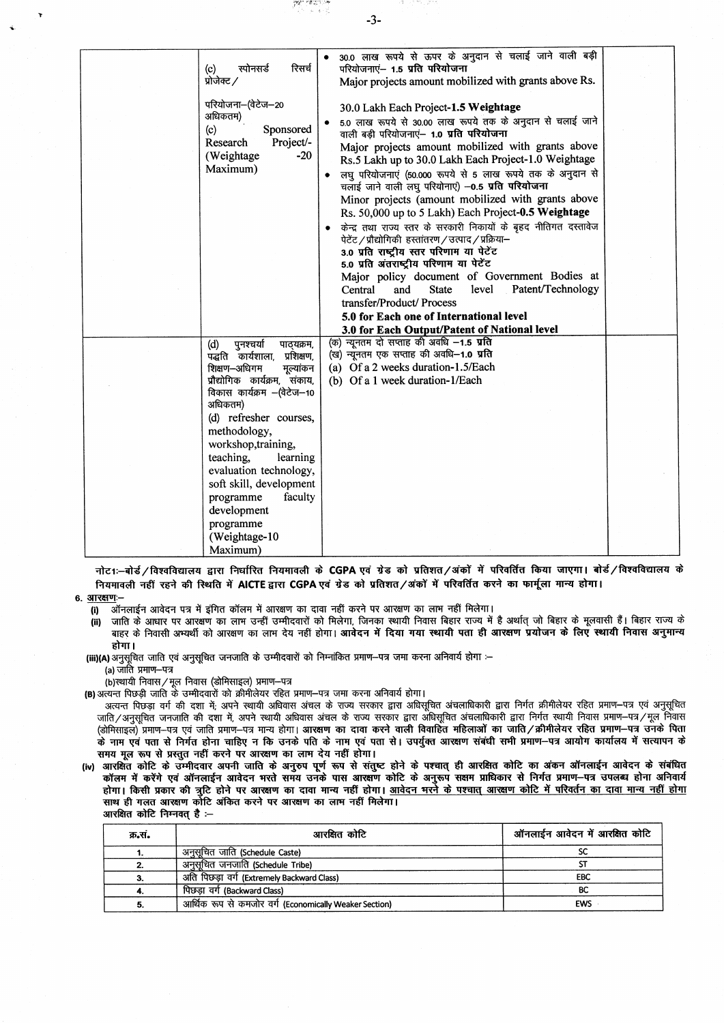| रिसर्च<br>रपोनसर्ड<br>(c)<br>प्रोजेक्ट /<br>परियोजना–(वेटेज–20<br>अधिकतम)<br>(c)<br>Sponsored<br>Project/-<br>Research<br>$-20$<br>(Weightage<br>Maximum) | 30.0 लाख रूपये से ऊपर के अनुदान से चलाई जाने वाली बड़ी<br>परियोजनाएं- 1.5 प्रति परियोजना<br>Major projects amount mobilized with grants above Rs.<br>30.0 Lakh Each Project-1.5 Weightage<br>5.0 लाख रूपये से 30.00 लाख रूपये तक के अनुदान से चलाई जाने<br>वाली बड़ी परियोजनाएं- 1.0 प्रति परियोजना<br>Major projects amount mobilized with grants above<br>Rs.5 Lakh up to 30.0 Lakh Each Project-1.0 Weightage<br>लघु परियोजनाएं (50.000 रूपये से 5 लाख रूपये तक के अनुदान से<br>चलाई जाने वाली लघू परियोनाएं) -0.5 प्रति परियोजना<br>Minor projects (amount mobilized with grants above<br>Rs. 50,000 up to 5 Lakh) Each Project-0.5 Weightage<br>केन्द्र तथा राज्य स्तर के सरकारी निकायों के बृहद नीतिगत दस्तावेज<br>पेटेंट / प्रौद्योगिकी हरतांतरण / उत्पाद / प्रक्रिया-<br>3.0 प्रति राष्ट्रीय स्तर परिणाम या पेटेंट<br>5.0 प्रति अंतराष्ट्रीय परिणाम या पेटेंट |  |
|-----------------------------------------------------------------------------------------------------------------------------------------------------------|-----------------------------------------------------------------------------------------------------------------------------------------------------------------------------------------------------------------------------------------------------------------------------------------------------------------------------------------------------------------------------------------------------------------------------------------------------------------------------------------------------------------------------------------------------------------------------------------------------------------------------------------------------------------------------------------------------------------------------------------------------------------------------------------------------------------------------------------------------------------------|--|
|                                                                                                                                                           | Major policy document of Government Bodies at                                                                                                                                                                                                                                                                                                                                                                                                                                                                                                                                                                                                                                                                                                                                                                                                                         |  |
|                                                                                                                                                           | Patent/Technology<br>and<br><b>State</b><br>level<br>Central                                                                                                                                                                                                                                                                                                                                                                                                                                                                                                                                                                                                                                                                                                                                                                                                          |  |
|                                                                                                                                                           | transfer/Product/ Process<br>5.0 for Each one of International level                                                                                                                                                                                                                                                                                                                                                                                                                                                                                                                                                                                                                                                                                                                                                                                                  |  |
|                                                                                                                                                           | 3.0 for Each Output/Patent of National level                                                                                                                                                                                                                                                                                                                                                                                                                                                                                                                                                                                                                                                                                                                                                                                                                          |  |
| पुनश्चर्या<br>पाठयक्रम,<br>(d)                                                                                                                            | (क) न्यूनतम दो सप्ताह की अवधि -1.5 प्रति                                                                                                                                                                                                                                                                                                                                                                                                                                                                                                                                                                                                                                                                                                                                                                                                                              |  |
| पद्धति कार्यशाला, प्रशिक्षण,                                                                                                                              | (ख) न्यूनतम एक सप्ताह की अवधि-1.0 प्रति                                                                                                                                                                                                                                                                                                                                                                                                                                                                                                                                                                                                                                                                                                                                                                                                                               |  |
| शिक्षण-अधिगम<br>मूल्यांकन                                                                                                                                 | (a) Of a 2 weeks duration-1.5/Each                                                                                                                                                                                                                                                                                                                                                                                                                                                                                                                                                                                                                                                                                                                                                                                                                                    |  |
| प्रौद्योगिक कार्यक्रम, संकाय,                                                                                                                             | (b) Of a 1 week duration-1/Each                                                                                                                                                                                                                                                                                                                                                                                                                                                                                                                                                                                                                                                                                                                                                                                                                                       |  |
| विकास कार्यक्रम –(वेटेज–10<br>अधिकतम)                                                                                                                     |                                                                                                                                                                                                                                                                                                                                                                                                                                                                                                                                                                                                                                                                                                                                                                                                                                                                       |  |
| (d) refresher courses,                                                                                                                                    |                                                                                                                                                                                                                                                                                                                                                                                                                                                                                                                                                                                                                                                                                                                                                                                                                                                                       |  |
| methodology,                                                                                                                                              |                                                                                                                                                                                                                                                                                                                                                                                                                                                                                                                                                                                                                                                                                                                                                                                                                                                                       |  |
| workshop, training,                                                                                                                                       |                                                                                                                                                                                                                                                                                                                                                                                                                                                                                                                                                                                                                                                                                                                                                                                                                                                                       |  |
| teaching,<br>learning                                                                                                                                     |                                                                                                                                                                                                                                                                                                                                                                                                                                                                                                                                                                                                                                                                                                                                                                                                                                                                       |  |
| evaluation technology,                                                                                                                                    |                                                                                                                                                                                                                                                                                                                                                                                                                                                                                                                                                                                                                                                                                                                                                                                                                                                                       |  |
| soft skill, development                                                                                                                                   |                                                                                                                                                                                                                                                                                                                                                                                                                                                                                                                                                                                                                                                                                                                                                                                                                                                                       |  |
| programme<br>faculty<br>development                                                                                                                       |                                                                                                                                                                                                                                                                                                                                                                                                                                                                                                                                                                                                                                                                                                                                                                                                                                                                       |  |
| programme                                                                                                                                                 |                                                                                                                                                                                                                                                                                                                                                                                                                                                                                                                                                                                                                                                                                                                                                                                                                                                                       |  |
| (Weightage-10                                                                                                                                             |                                                                                                                                                                                                                                                                                                                                                                                                                                                                                                                                                                                                                                                                                                                                                                                                                                                                       |  |
| Maximum)                                                                                                                                                  |                                                                                                                                                                                                                                                                                                                                                                                                                                                                                                                                                                                                                                                                                                                                                                                                                                                                       |  |
|                                                                                                                                                           |                                                                                                                                                                                                                                                                                                                                                                                                                                                                                                                                                                                                                                                                                                                                                                                                                                                                       |  |

नोट1:-बोर्ड / विश्वविद्यालय द्वारा निर्धारित नियमावली के CGPA एवं ग्रेड को प्रतिशत /अंकों में परिवर्तित किया जाएगा। बोर्ड / विश्वविद्यालय के नियमावली नहीं रहने की स्थिति में AICTE द्वारा CGPA एवं ग्रेड को प्रतिशत /अंकों में परिवर्तित करने का फार्मूला मान्य होगा।

6. आरक्षणः-

—<br>ऑनलाईन आवेदन पत्र में इंगित कॉलम में आरक्षण का दावा नहीं करने पर आरक्षण का लाभ नहीं मिलेगा।  $(i)$ 

 $(ii)$ बाहर के निवासी अभ्यर्थी को आरक्षण का लाभ देय नहीं होगा। आवेदन में दिया गया स्थायी पता ही आरक्षण प्रयोजन के लिए स्थायी निवास अनुमान्य होगा।

(iii)(A) अनुसूचित जाति एवं अनुसूचित जनजाति के उम्मीदवारों को निम्नांकित प्रमाण–पत्र जमा करना अनिवार्य होगा :–

(a) जाति प्रमाण-पत्र

(b)स्थायी निवास / मूल निवास (डोमिसाइल) प्रमाण-पत्र

(B) अत्यन्त पिछड़ी जाति के उम्मीदवारों को क्रीमीलेयर रहित प्रमाण-पत्र जमा करना अनिवार्य होगा।

अत्यन्त पिछड़ा वर्ग की दशा में; अपने स्थायी अधिवास अंचल के राज्य सरकार द्वारा अधिसूचित अंचलाधिकारी द्वारा निर्गत क्रीमीलेयर रहित प्रमाण-पत्र एवं अनुसूचित जाति/अनुसूचित जनजाति की दशा में, अपने स्थायी अधिवास अंचल के राज्य सरकार द्वारा अधिसूचित अंचलाधिकारी द्वारा निर्गत स्थायी निवास प्रमाण-पत्र/मूल निवास (डोमिसाइल) प्रमाण-पत्र एवं जाति प्रमाण-पत्र मान्य होगा। आरक्षण का दावा करने वाली विवाहित महिलाओं का जाति/क्रीमीलेयर रहित प्रमाण-पत्र उनके पिता के नाम एवं पता से निर्गत होना चाहिए न कि उनके पति के नाम एवं पता से। उपर्युक्त आरक्षण संबंधी सभी प्रमाण-पत्र आयोग कार्यालय में सत्यापन के समय मूल रूप से प्रस्तुत नहीं करने पर आरक्षण का लाभ देय नहीं होगा।

iv) आरक्षित कोटि के उम्मीदवार अपनी जाति के अनुरुप पूर्ण रूप से संतुष्ट होने के पश्चात् ही आरक्षित कोटि का अंकन ऑनलाईन आवेदन के संबंधित<br>कॉलम में करेंगे एवं ऑनलाईन आवेदन मरते समय उनके पास आरक्षण कोटि के अनुरूप सक्षम प्राधिक होगा। किसी प्रकार की त्रुटि होने पर आरक्षण का दावा मान्य नहीं होगा। <u>आवेदन भरने के पश्चात आरक्षण कोटि में परिवर्तन का दावा मान्य नहीं होगा</u> साथ ही गलत आरक्षण कोटि अंकित करने पर आरक्षण का लाम नहीं मिलेगा। आरक्षित कोटि निम्नवत् है :-

| क्र.सं. | आरक्षित कोटि                                           | ऑनलाईन आवेदन में आरक्षित कोटि |
|---------|--------------------------------------------------------|-------------------------------|
|         | अनुसूचित जाति (Schedule Caste)                         |                               |
| 2.      | अनुसूचित जनजाति (Schedule Tribe)                       |                               |
| З.      | अति पिछड़ा वर्ग (Extremely Backward Class)             | <b>EBC</b>                    |
| 4.      | पिछड़ा वर्ग (Backward Class)                           | BC                            |
| 5.      | आर्थिक रूप से कमजोर वर्ग (Economically Weaker Section) | <b>EWS</b>                    |

 $-3-$ 

লুক্তা শইক্ষান দেখ  $\mathcal{L} \leftarrow \mathcal{L}$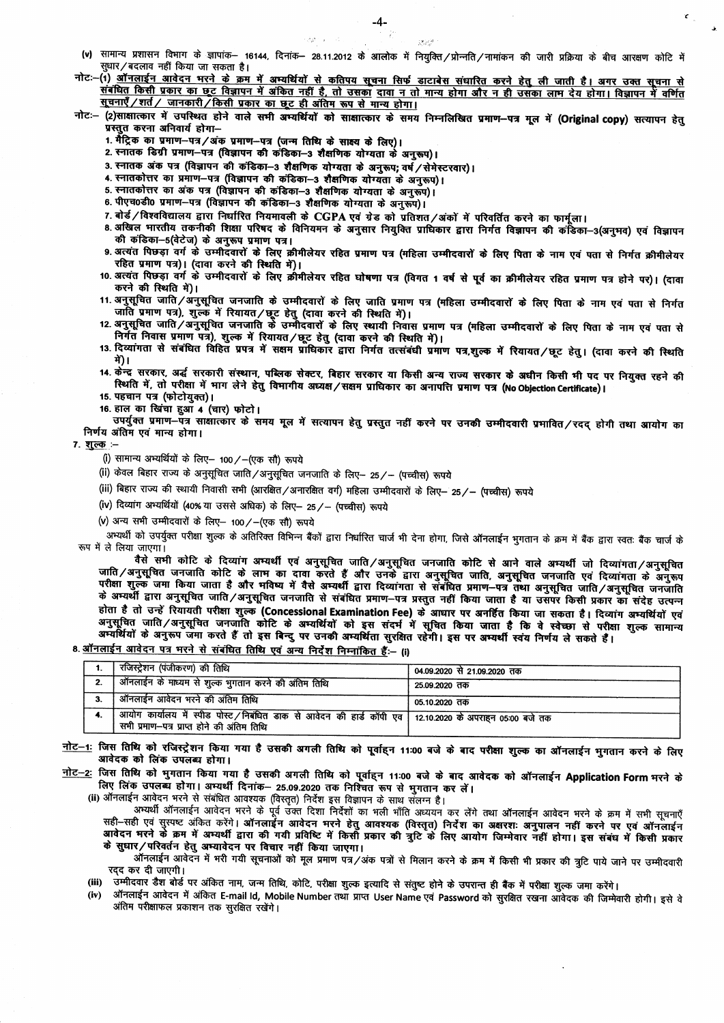- (v) सामान्य प्रशासन विभाग के ज्ञापांक- 16144, दिनांक- 28.11.2012 के आलोक में नियुक्ति/प्रोन्नति/नामांकन की जारी प्रक्रिया के बीच आरक्षण कोटि में सधार/बदलाव नहीं किया जा सकता है।
- नोटः-(1) <u>ऑनलाईन आवेदन भरने के क्रम में अभ्यर्थियों से कतिपय सूचना सिर्फ डाटाबेस संधारित करने हेतु ली जाती है। अगर उक्त सूचना से</u> संबंधित किसी प्रकार का छूट विज्ञापन में अंकित नहीं है, तो उसका दावा न तो मान्य होगा और न ही उसका लाम देय होगा। विज्ञापन में वर्णित सूचनाएँ/शर्त/ जानकारी/किसी प्रकार का छूट ही अंतिम रूप से मान्य होगा।
- नोटः- (2)साक्षात्कार में उपस्थित होने वाले सभी अभ्यर्थियों को साक्षात्कार के समय निम्नलिखित प्रमाण-पत्र मूल में (Original copy) सत्यापन हेतु ...<br>प्रस्तुत करना अनिवार्य होगा-
	- 1. मैंट्रिक का प्रमाण-पत्र/अंक प्रमाण-पत्र (जन्म तिथि के साक्ष्य के लिए)।
	- 2. स्नातक डिग्री प्रमाण-पत्र (विज्ञापन की कंडिका-3 शैक्षणिक योग्यता के अनुरूप)।
	- 3. स्नातक अंक पत्र (विज्ञापन की कंडिका-3 शैक्षणिक योग्यता के अनुरूप; वर्ष / सेमेस्टरवार)।

**CANCER COL** 

- 4. स्नातकोत्तर का प्रमाण-पत्र (विज्ञापन की कंडिका-3 शैक्षणिक योग्यता के अनुरूप)।
- 5. स्नातकोत्तर का अंक पत्र (विज्ञापन की कंडिका-3 शैक्षणिक योग्यता के अनुरूप)।
- 6. पीएच0डी0 प्रमाण-पत्र (विज्ञापन की कडिका-3 शैक्षणिक योग्यता के अनुरूप)।
- 7. बोर्ड / विश्वविद्यालय द्वारा निर्धारित नियमावली के CGPA एवं ग्रेड को प्रतिशत / अंकों में परिवर्तित करने का फार्मूला।
- 8 अखिल भारतीय तकनीकी शिक्षा परिषद के विनियमन के अनुसार नियुक्ति प्राधिकार द्वारा निर्गत विज्ञापन की कंडिका-3(अनुभव) एवं विज्ञापन की कडिका-5(वेटेज) के अनुरूप प्रमाण पत्र।<br>- की कडिका-5(वेटेज) के अनुरूप प्रमाण पत्र।<br>9. अत्यंत पिछड़ा वर्ग के उम्मीदवारों के लिए क्रीमीलेयर रहित प्रमाण पत्र (महिला उम्मीदवारों के लिए पिता के नाम एवं पता से निर्गत क्रीमीलेय
- रहित प्रमाण पत्र)। (दावा करने की स्थिति में)।
- 10. अत्यंत पिछड़ा वर्ग के उम्मीदवारों के लिए क्रीमीलेयर रहित घोषणा पत्र (विगत 1 वर्ष से पूर्व का क्रीमीलेयर रहित प्रमाण पत्र होने पर)। (दावा करने की स्थिति में)।
- 11. अनुसूचित जाति/अनुसूचित जनजाति के उम्मीदवारों के लिए जाति प्रमाण पत्र (महिला उम्मीदवारों के लिए पिता के नाम एवं पता से निर्गत जाति प्रमाण पत्र), शुल्के में रियायत/छूट हेतु (दावा करने की स्थिति में)।
- 12 अनुसूचित जाति /अनुसूचित जनजाति के उम्मीदवारों के लिए स्थायी निवास प्रमाण पत्र (महिला उम्मीदवारों के लिए पिता के नाम एवं पता से निर्गत निवास प्रमाण पत्र), शुल्क में रियायत/छूट हेतु (दावा करने की स्थिति में)।
- 13. दिव्यांगता से संबंधित विहित प्रपत्र में सक्षम प्राधिकार द्वारा निर्गत तत्संबंधी प्रमाण पत्र,शुल्क में रियायत/छूट हेतु। (दावा करने की स्थिति गे)।
- 14. केंन्द्र सरकार, अर्द्ध सरकारी संस्थान, पब्लिक सेक्टर, बिहार सरकार या किसी अन्य राज्य सरकार के अधीन किसी भी पद पर नियुक्त रहने की स्थिति में, तो परीक्षा में माग लेने हेतु विभागीय अध्यक्ष/सक्षम प्राधिकार का अनापत्ति प्रमाण पत्र (No Objection Certificate)।
- 15. पहचान पत्र (फोटोयुक्त)।
- 16. हाल का खिंचा हुआ 4 (चार) फोटो।

उपर्युक्त प्रमाण-पत्र साक्षात्कार के समय मूल में सत्यापन हेतु प्रस्तुत नहीं करने पर उनकी उम्मीदवारी प्रमावित/रदद् होगी तथा आयोग का निर्णय अंतिम एवं मान्य होगा।

7. शुल्क :--

- (i) सामान्य अभ्यर्थियों के लिए- 100 /- (एक सौ) रूपये
- (ii) केवल बिहार राज्य के अनुसूचित जाति/अनुसूचित जनजाति के लिए- 25/- (पच्चीस) रूपये
- (iii) बिहार राज्य की स्थायी निवासी सभी (आरक्षित/अनारक्षित वर्ग) महिला उम्मीदवारों के लिए– 25/– (पच्चीस) रूपये
- (iv) दिव्यांग अभ्यर्थियों (40% या उससे अधिक) के लिए- 25 / (पच्चीस) रूपये
- (v) अन्य सभी उम्मीदवारों के लिए- 100 /- (एक सौ) रूपये

अभ्यर्थी को उपर्युक्त परीक्षा शुल्क के अतिरिक्त विभिन्न बैंकों द्वारा निर्धारित चार्ज भी देना होगा, जिसे ऑनलाईन भुगतान के क्रम में बैंक द्वारा स्वतः बैंक चार्ज के रूप में ले लिया जाएगा।

वैसे सभी कोटि के दिव्यांग अभ्यर्थी एवं अनुसूचित जाति/अनुसूचित जनजाति कोटि से आने वाले अभ्यर्थी जो दिव्यांगता/अनुसूचित जाति/अनुसूचित जनजाति कोटि के लाभ का दावा करते हैं और उनके द्वारा अनुसूचित जाति, अनुसूचित जनजाति एवं दिव्यांगता<br>परीक्षा शुल्क जमा किया जाता है और भविष्य में वैसे अम्यर्थी द्वारा दिव्यांगता से संबंधित प्रमाण-पत्र तथा अनुसूच होता है तो उन्हें रियायती परीक्षा शुल्क (Concessional Examination Fee) के आधार पर अनहिंत किया जा सकता है। दिव्यांग अभ्यर्थियों एवं अनुसूचित जाति/अनुसूचित जनजाति कोटि के अभ्यर्थियों को इस संदर्भ में सूचित किया जाता है कि वे स्वेच्छा से परीक्षा शुल्क सामान्य अर्ग्यार्थयों के अनुरूप जेंगा करते हैं तो इस बिन्दु पर उनकी अम्यर्थिता सुरक्षित रहेगी। इस पर अम्यर्थी स्वंय निर्णय ले सकते हैं।

## 8. <u>ऑनलाईन आवेदन पत्र भरने से संबंधित तिथि एवं अन्य</u> निर्देश निम्नांकित हैं:- (i)

| रजिस्ट्रेशन (पंजीकरण) की तिथि                                                                                                                            | 04.09.2020 से 21.09.2020 तक |
|----------------------------------------------------------------------------------------------------------------------------------------------------------|-----------------------------|
| , ऑनलाईन के माध्यम से शुल्क भुगतान करने की अंतिम तिथि                                                                                                    | 25.09.2020 तक               |
| ऑनलाईन आवेदन भरने की अंतिम तिथि                                                                                                                          | 05.10.2020 तक               |
| , आयोग कार्यालय में स्पीड पोस्ट /निबंधित डाक से आवेदन की हार्ड कॉपी एव   12.10.2020 के अपराहन 05:00 बजे तक<br>सभी प्रमाण—पत्र प्राप्त होने की अंतिम तिथि |                             |

- नोट–1: जिस तिथि को रजिस्ट्रेशन किया गया है उसकी अगली तिथि को पूर्वाहन 11:00 बजे के बाद परीक्षा शुल्क का ऑनलाईन मुगतान करने के लिए आवेदक को लिंक उपलब्ध होगा।
- <u>नोट–2:</u> जिस तिथि को भुगतान किया गया है उसकी अगली तिथि को पूर्वाहन 11:00 बजे के बाद आवेदक को ऑनलाईन Application Form मरने के लिए लिंक उपलब्ध होगा। अभ्यर्थी दिनांक– 25.09.2020 तक निश्चित रूप से भुगतान कर लें।

(ii) ऑनलाईन आवेदन भरने से संबंधित आवश्यक (विस्तृत) निर्देश इस विज्ञापन के साथ सॅलग्न है।

अभ्यर्थी ऑनलाईन आवेदन भरने के पूर्व उक्त दिशा निर्देशों का भली भाँति अध्ययन कर लेंगे तथा ऑनलाईन आवेदन भरने के क्रम में सभी सूचनाएँ सही-सही एवं सुस्पष्ट अंकित करेंगे। ऑनलाईन आवेदन मरने हेतु आवश्यक (विस्तृत्) निर्देश का अक्षरशः अनुपालन नहीं करने पर एवं ऑनलाईन आवेदन मरने के क्रम में अभ्यर्थी द्वारा की गयी प्रविष्टि में किसी प्रकार की त्रुटि के लिए आयोग जिम्मेवार नहीं होगा। इस संबंध में किसी प्रकार के सुधार/परिवर्तन हेतु अभ्यावेदन पर विचार नहीं किया जाएगा।

ऑनलाईन आवेदन में भरी गयी सूचनाओं को मूल प्रमाण पत्र/अंक पत्रों से मिलान करने के क्रम में किसी भी प्रकार की त्रूटि पाये जाने पर उम्मीदवारी रदद कर दी जाएगी।

(iii) उम्मीदवार डैश बोर्ड पर अंकित नाम, जन्म तिथि, कोटि, परीक्षा शुल्क इत्यादि से संतुष्ट होने के उपरान्त ही बैंक में परीक्षा शुल्क जमा करेंगे।

ऑनलाईन आवेदन में अंकित E-mail Id, Mobile Number तथा प्राप्त User Name एवं Password को सुरक्षित रखना आवेदक की जिम्मेवारी होगी। इसे वे  $(iv)$ अंतिम परीक्षाफल प्रकाशन तक सुरक्षित रखेंगे।

 $\chi^{\mu}_{\nu} \chi^{\nu}_{\nu}$